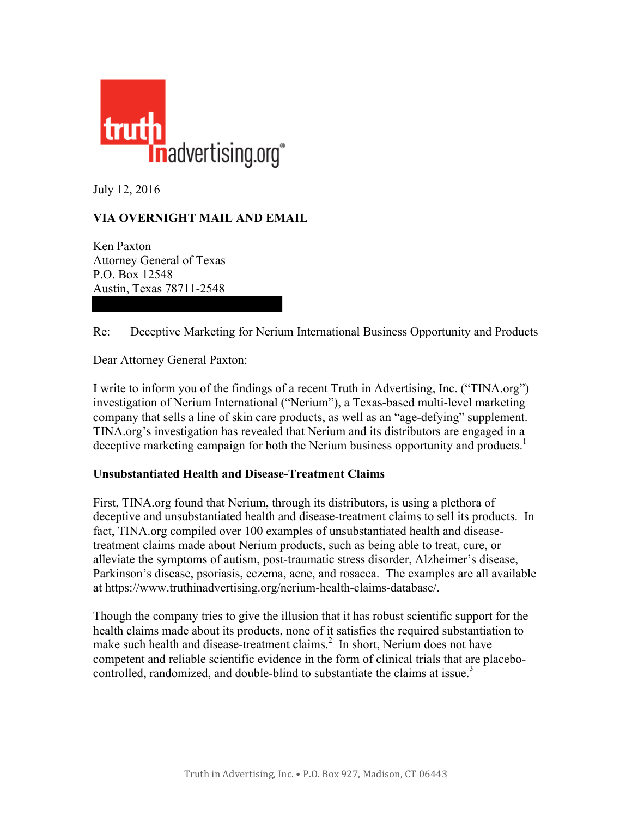

July 12, 2016

## **VIA OVERNIGHT MAIL AND EMAIL**

Ken Paxton Attorney General of Texas P.O. Box 12548 Austin, Texas 78711-2548

## Re: Deceptive Marketing for Nerium International Business Opportunity and Products

Dear Attorney General Paxton:

I write to inform you of the findings of a recent Truth in Advertising, Inc. ("TINA.org") investigation of Nerium International ("Nerium"), a Texas-based multi-level marketing company that sells a line of skin care products, as well as an "age-defying" supplement. TINA.org's investigation has revealed that Nerium and its distributors are engaged in a deceptive marketing campaign for both the Nerium business opportunity and products.<sup>1</sup>

## **Unsubstantiated Health and Disease-Treatment Claims**

First, TINA.org found that Nerium, through its distributors, is using a plethora of deceptive and unsubstantiated health and disease-treatment claims to sell its products. In fact, TINA.org compiled over 100 examples of unsubstantiated health and diseasetreatment claims made about Nerium products, such as being able to treat, cure, or alleviate the symptoms of autism, post-traumatic stress disorder, Alzheimer's disease, Parkinson's disease, psoriasis, eczema, acne, and rosacea. The examples are all available at [https://www.truthinadvertising.org/nerium-health-claims-database/.](https://www.truthinadvertising.org/nerium-health-claims-database/)

Though the company tries to give the illusion that it has robust scientific support for the health claims made about its products, none of it satisfies the required substantiation to make such health and disease-treatment claims.<sup>2</sup> In short, Nerium does not have competent and reliable scientific evidence in the form of clinical trials that are placebocontrolled, randomized, and double-blind to substantiate the claims at issue.<sup>3</sup>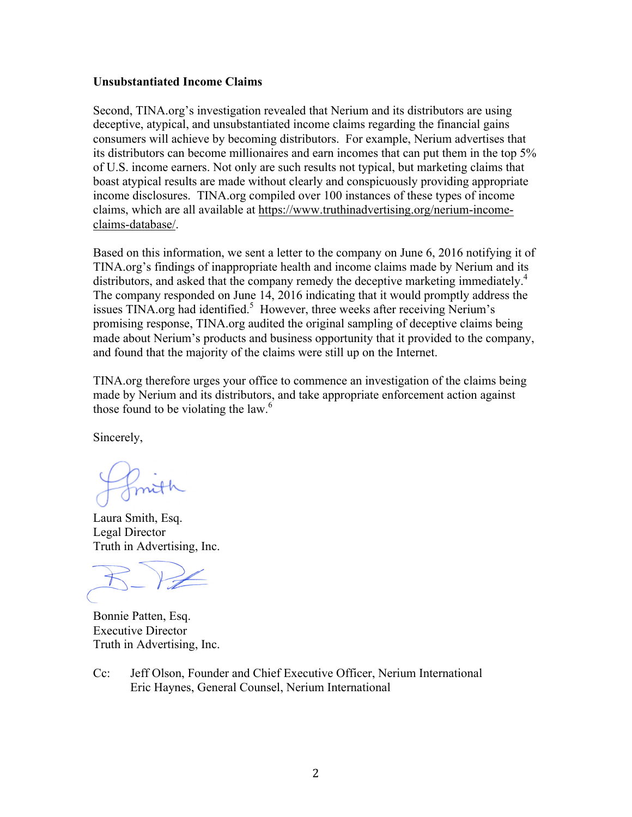## **Unsubstantiated Income Claims**

Second, TINA.org's investigation revealed that Nerium and its distributors are using deceptive, atypical, and unsubstantiated income claims regarding the financial gains consumers will achieve by becoming distributors. For example, Nerium advertises that its distributors can become millionaires and earn incomes that can put them in the top 5% of U.S. income earners. Not only are such results not typical, but marketing claims that boast atypical results are made without clearly and conspicuously providing appropriate income disclosures. TINA.org compiled over 100 instances of these types of income claims, which are all available at [https://www.truthinadvertising.org/nerium-income](https://www.truthinadvertising.org/nerium-income-claims-database/)[claims-database/.](https://www.truthinadvertising.org/nerium-income-claims-database/)

Based on this information, we sent a letter to the company on June 6, 2016 notifying it of TINA.org's findings of inappropriate health and income claims made by Nerium and its distributors, and asked that the company remedy the deceptive marketing immediately.<sup>4</sup> The company responded on June 14, 2016 indicating that it would promptly address the issues TINA.org had identified.<sup>5</sup> However, three weeks after receiving Nerium's promising response, TINA.org audited the original sampling of deceptive claims being made about Nerium's products and business opportunity that it provided to the company, and found that the majority of the claims were still up on the Internet.

TINA.org therefore urges your office to commence an investigation of the claims being made by Nerium and its distributors, and take appropriate enforcement action against those found to be violating the law. $<sup>6</sup>$ </sup>

Sincerely,

Laura Smith, Esq. Legal Director Truth in Advertising, Inc.

Bonnie Patten, Esq. Executive Director Truth in Advertising, Inc.

Cc: Jeff Olson, Founder and Chief Executive Officer, Nerium International Eric Haynes, General Counsel, Nerium International